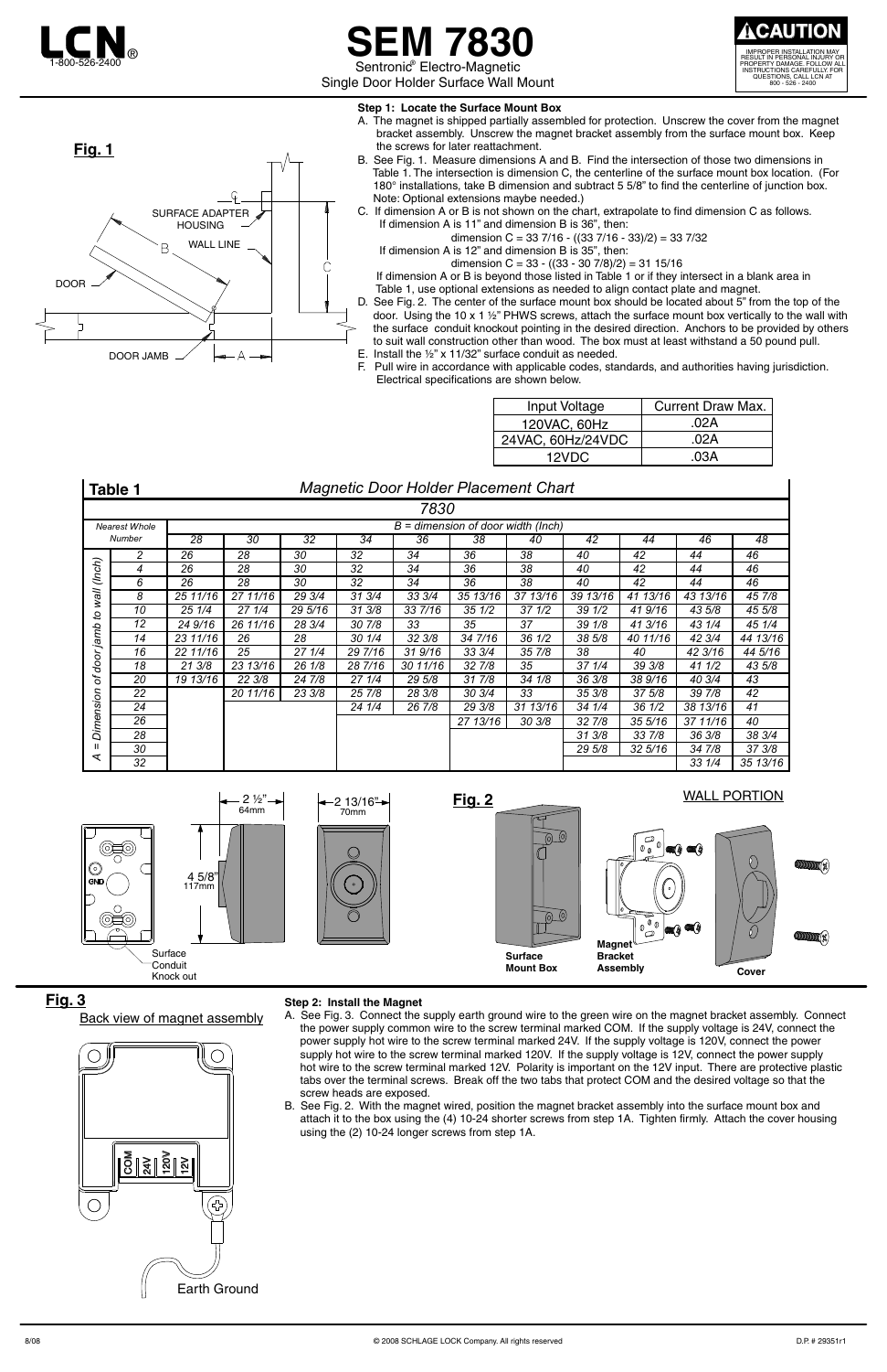Single Door Holder Surface Wall Mount



## **SEM 7830** Sentronic<sup>®</sup> Electro-Magnetic

IMPROPER INSTALLATION MAY RESULT IN PERSONAL INJURY OR PROPERTY DAMAGE. FOLLOW ALL INSTRUCTIONS CAREFULLY. FOR QUESTIONS, CALL LCN AT 800 - 526 - 2400 **! CAUTION**

 If dimension A is 12" and dimension B is 35", then: dimension  $C = 33 - ((33 - 307/8)/2) = 3115/16$ 

- **Step 1: Locate the Surface Mount Box**
- A. The magnet is shipped partially assembled for protection. Unscrew the cover from the magnet bracket assembly. Unscrew the magnet bracket assembly from the surface mount box. Keep the screws for later reattachment.
- B. See Fig. 1. Measure dimensions A and B. Find the intersection of those two dimensions in Table 1. The intersection is dimension C, the centerline of the surface mount box location. (For 180° installations, take B dimension and subtract 5 5/8" to find the centerline of junction box. Note: Optional extensions maybe needed.)
- C. If dimension A or B is not shown on the chart, extrapolate to find dimension C as follows. If dimension A is 11" and dimension B is 36", then:

dimension C = 33 7/16 -  $((33 7/16 - 33)/2) = 33 7/32$ 

 If dimension A or B is beyond those listed in Table 1 or if they intersect in a blank area in Table 1, use optional extensions as needed to align contact plate and magnet.

- D. See Fig. 2. The center of the surface mount box should be located about 5" from the top of the
- door. Using the 10 x 1  $\frac{1}{2}$ " PHWS screws, attach the surface mount box vertically to the wall with the surface conduit knockout pointing in the desired direction. Anchors to be provided by others to suit wall construction other than wood. The box must at least withstand a 50 pound pull. E. Install the ½" x 11/32" surface conduit as needed.
- F. Pull wire in accordance with applicable codes, standards, and authorities having jurisdiction. Electrical specifications are shown below.





## **Back view of magnet assembly**



A. See Fig. 3. Connect the supply earth ground wire to the green wire on the magnet bracket assembly. Connect the power supply common wire to the screw terminal marked COM. If the supply voltage is 24V, connect the power supply hot wire to the screw terminal marked 24V. If the supply voltage is 120V, connect the power supply hot wire to the screw terminal marked 120V. If the supply voltage is 12V, connect the power supply hot wire to the screw terminal marked 12V. Polarity is important on the 12V input. There are protective plastic tabs over the terminal screws. Break off the two tabs that protect COM and the desired voltage so that the screw heads are exposed.



B. See Fig. 2. With the magnet wired, position the magnet bracket assembly into the surface mount box and attach it to the box using the (4) 10-24 shorter screws from step 1A. Tighten firmly. Attach the cover housing using the (2) 10-24 longer screws from step 1A.





**Surface Mount Box**

@\_@

@\_@



|                                                        | 7830 |                                      |                 |                 |         |                 |                  |                  |          |                  |          |          |  |
|--------------------------------------------------------|------|--------------------------------------|-----------------|-----------------|---------|-----------------|------------------|------------------|----------|------------------|----------|----------|--|
| <b>Nearest Whole</b>                                   |      | $B =$ dimension of door width (Inch) |                 |                 |         |                 |                  |                  |          |                  |          |          |  |
| Number                                                 |      | 28                                   | $\overline{30}$ | $\overline{32}$ | 34      | $\overline{36}$ | 38               | 40               | 42       | 44               | 46       | 48       |  |
| (lnch)<br>wall<br>°,<br>jamb<br>door<br>ð<br>Dimension | 2    | 26                                   | 28              | 30              | 32      | 34              | 36               | 38               | 40       | 42               | 44       | 46       |  |
|                                                        | 4    | 26                                   | 28              | 30              | 32      | 34              | 36               | 38               | 40       | 42               | 44       | 46       |  |
|                                                        | 6    | 26                                   | 28              | 30              | 32      | 34              | 36               | 38               | 40       | 42               | 44       | 46       |  |
|                                                        | 8    | 25 11/16                             | 27 11/16        | 29 3/4          | 31 3/4  | 33 3/4          | 35 13/16         | 37 13/16         | 39 13/16 | 41 13/16         | 43 13/16 | 45 7/8   |  |
|                                                        | 10   | 25 1/4                               | 27 1/4          | 29 5/16         | 31 3/8  | 33 7/16         | $35 \frac{1}{2}$ | 371/2            | 39 1/2   | 41 9/16          | 43 5/8   | 45 5/8   |  |
|                                                        | 12   | 24 9/16                              | 26 11/16        | 28 3/4          | 30 7/8  | 33              | 35               | 37               | 39 1/8   | 41 3/16          | 43 1/4   | 45 1/4   |  |
|                                                        | 14   | 23 11/16                             | 26              | 28              | 301/4   | 32 3/8          | 34 7/16          | $36 \frac{1}{2}$ | 38 5/8   | 40 11/16         | 42 3/4   | 44 13/16 |  |
|                                                        | 16   | 22 11/16                             | 25              | 27 1/4          | 29 7/16 | 319/16          | 33 3/4           | 35 7/8           | 38       | 40               | 42 3/16  | 44 5/16  |  |
|                                                        | 18   | 21 3/8                               | 23 13/16        | 26 1/8          | 28 7/16 | 3011/16         | 32 7/8           | 35               | 37 1/4   | 39 3/8           | 41 1/2   | 43 5/8   |  |
|                                                        | 20   | 19 13/16                             | 22 3/8          | 24 7/8          | 271/4   | 29 5/8          | 31 7/8           | 34 1/8           | 36 3/8   | 38 9/16          | 40 3/4   | 43       |  |
|                                                        | 22   |                                      | 20 11/16        | 23 3/8          | 25 7/8  | 28 3/8          | 30 3/4           | 33               | 35 3/8   | 37 5/8           | 39 7/8   | 42       |  |
|                                                        | 24   |                                      |                 |                 | 24 1/4  | 26 7/8          | 29 3/8           | 31 13/16         | 34 1/4   | $36 \frac{1}{2}$ | 38 13/16 | 41       |  |
|                                                        | 26   |                                      |                 |                 |         |                 | 27 13/16         | 303/8            | 32 7/8   | 355/16           | 37 11/16 | 40       |  |
|                                                        | 28   |                                      |                 |                 |         |                 |                  |                  | 31 3/8   | 33 7/8           | 36 3/8   | 38 3/4   |  |
| Ш                                                      | 30   |                                      |                 |                 |         |                 |                  |                  | 29 5/8   | 32 5/16          | 34 7/8   | 37 3/8   |  |
| ⋖                                                      | 32   |                                      |                 |                 |         |                 |                  |                  |          |                  | 33 1/4   | 35 13/16 |  |

## *Magnetic Door Holder Placement Chart*

| Table |  |
|-------|--|
|-------|--|

| Input Voltage     | Current Draw Max. |  |  |  |  |
|-------------------|-------------------|--|--|--|--|
| 120VAC, 60Hz      | .02A              |  |  |  |  |
| 24VAC, 60Hz/24VDC | .02A              |  |  |  |  |
| 12VDC             | 03A               |  |  |  |  |